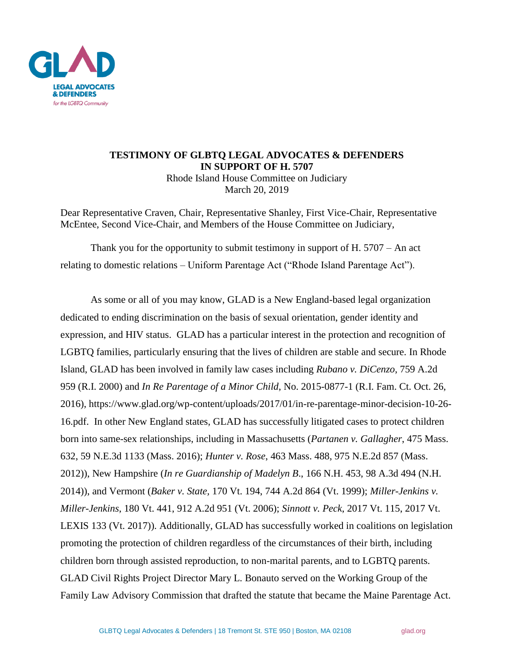

## **TESTIMONY OF GLBTQ LEGAL ADVOCATES & DEFENDERS IN SUPPORT OF H. 5707** Rhode Island House Committee on Judiciary March 20, 2019

Dear Representative Craven, Chair, Representative Shanley, First Vice-Chair, Representative McEntee, Second Vice-Chair, and Members of the House Committee on Judiciary,

Thank you for the opportunity to submit testimony in support of H. 5707 – An act relating to domestic relations – Uniform Parentage Act ("Rhode Island Parentage Act").

As some or all of you may know, GLAD is a New England-based legal organization dedicated to ending discrimination on the basis of sexual orientation, gender identity and expression, and HIV status. GLAD has a particular interest in the protection and recognition of LGBTQ families, particularly ensuring that the lives of children are stable and secure. In Rhode Island, GLAD has been involved in family law cases including *Rubano v. DiCenzo*, 759 A.2d 959 (R.I. 2000) and *In Re Parentage of a Minor Child*, No. 2015-0877-1 (R.I. Fam. Ct. Oct. 26, 2016), https://www.glad.org/wp-content/uploads/2017/01/in-re-parentage-minor-decision-10-26- 16.pdf. In other New England states, GLAD has successfully litigated cases to protect children born into same-sex relationships, including in Massachusetts (*Partanen v. Gallagher*, 475 Mass. 632, 59 N.E.3d 1133 (Mass. 2016); *Hunter v. Rose*, 463 Mass. 488, 975 N.E.2d 857 (Mass. 2012)), New Hampshire (*In re Guardianship of Madelyn B*., 166 N.H. 453, 98 A.3d 494 (N.H. 2014)), and Vermont (*Baker v. State,* 170 Vt. 194, 744 A.2d 864 (Vt. 1999); *Miller-Jenkins v. Miller-Jenkins*, 180 Vt. 441, 912 A.2d 951 (Vt. 2006); *Sinnott v. Peck*, 2017 Vt. 115, 2017 Vt. LEXIS 133 (Vt. 2017)). Additionally, GLAD has successfully worked in coalitions on legislation promoting the protection of children regardless of the circumstances of their birth, including children born through assisted reproduction, to non-marital parents, and to LGBTQ parents. GLAD Civil Rights Project Director Mary L. Bonauto served on the Working Group of the Family Law Advisory Commission that drafted the statute that became the Maine Parentage Act.

GLBTQ Legal Advocates & Defenders | 18 Tremont St. STE 950 | Boston, MA 02108 glad.org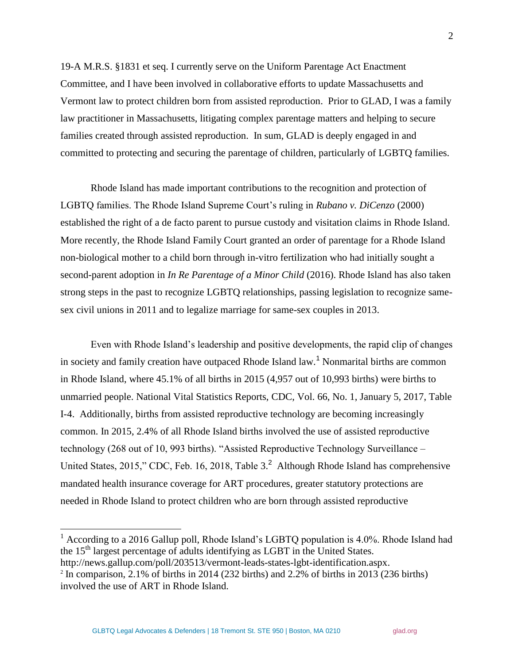19-A M.R.S. §1831 et seq. I currently serve on the Uniform Parentage Act Enactment Committee, and I have been involved in collaborative efforts to update Massachusetts and Vermont law to protect children born from assisted reproduction. Prior to GLAD, I was a family law practitioner in Massachusetts, litigating complex parentage matters and helping to secure families created through assisted reproduction. In sum, GLAD is deeply engaged in and committed to protecting and securing the parentage of children, particularly of LGBTQ families.

Rhode Island has made important contributions to the recognition and protection of LGBTQ families. The Rhode Island Supreme Court's ruling in *Rubano v. DiCenzo* (2000) established the right of a de facto parent to pursue custody and visitation claims in Rhode Island. More recently, the Rhode Island Family Court granted an order of parentage for a Rhode Island non-biological mother to a child born through in-vitro fertilization who had initially sought a second-parent adoption in *In Re Parentage of a Minor Child* (2016). Rhode Island has also taken strong steps in the past to recognize LGBTQ relationships, passing legislation to recognize samesex civil unions in 2011 and to legalize marriage for same-sex couples in 2013.

Even with Rhode Island's leadership and positive developments, the rapid clip of changes in society and family creation have outpaced Rhode Island law.<sup>1</sup> Nonmarital births are common in Rhode Island, where 45.1% of all births in 2015 (4,957 out of 10,993 births) were births to unmarried people. National Vital Statistics Reports, CDC, Vol. 66, No. 1, January 5, 2017, Table I-4. Additionally, births from assisted reproductive technology are becoming increasingly common. In 2015, 2.4% of all Rhode Island births involved the use of assisted reproductive technology (268 out of 10, 993 births). "Assisted Reproductive Technology Surveillance – United States, 2015," CDC, Feb. 16, 2018, Table  $3.<sup>2</sup>$  Although Rhode Island has comprehensive mandated health insurance coverage for ART procedures, greater statutory protections are needed in Rhode Island to protect children who are born through assisted reproductive

 $\overline{\phantom{a}}$ 

<sup>&</sup>lt;sup>1</sup> According to a 2016 Gallup poll, Rhode Island's LGBTQ population is 4.0%. Rhode Island had the 15<sup>th</sup> largest percentage of adults identifying as LGBT in the United States.

http://news.gallup.com/poll/203513/vermont-leads-states-lgbt-identification.aspx.

 $2^2$  In comparison, 2.1% of births in 2014 (232 births) and 2.2% of births in 2013 (236 births) involved the use of ART in Rhode Island.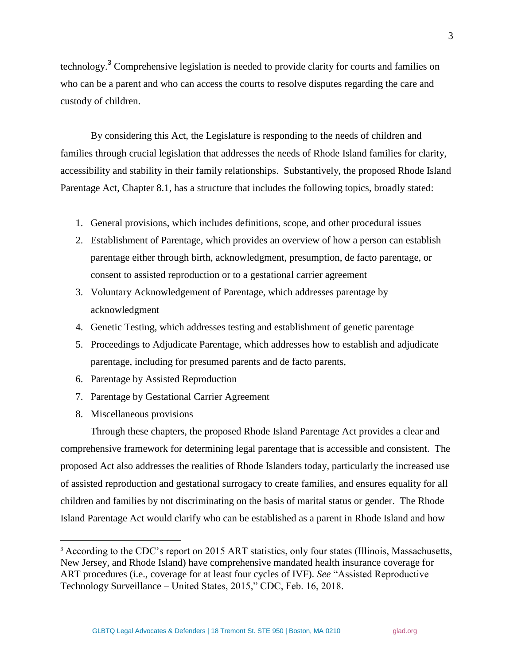technology.<sup>3</sup> Comprehensive legislation is needed to provide clarity for courts and families on who can be a parent and who can access the courts to resolve disputes regarding the care and custody of children.

By considering this Act, the Legislature is responding to the needs of children and families through crucial legislation that addresses the needs of Rhode Island families for clarity, accessibility and stability in their family relationships. Substantively, the proposed Rhode Island Parentage Act, Chapter 8.1, has a structure that includes the following topics, broadly stated:

- 1. General provisions, which includes definitions, scope, and other procedural issues
- 2. Establishment of Parentage, which provides an overview of how a person can establish parentage either through birth, acknowledgment, presumption, de facto parentage, or consent to assisted reproduction or to a gestational carrier agreement
- 3. Voluntary Acknowledgement of Parentage, which addresses parentage by acknowledgment
- 4. Genetic Testing, which addresses testing and establishment of genetic parentage
- 5. Proceedings to Adjudicate Parentage, which addresses how to establish and adjudicate parentage, including for presumed parents and de facto parents,
- 6. Parentage by Assisted Reproduction
- 7. Parentage by Gestational Carrier Agreement
- 8. Miscellaneous provisions

l

Through these chapters, the proposed Rhode Island Parentage Act provides a clear and comprehensive framework for determining legal parentage that is accessible and consistent. The proposed Act also addresses the realities of Rhode Islanders today, particularly the increased use of assisted reproduction and gestational surrogacy to create families, and ensures equality for all children and families by not discriminating on the basis of marital status or gender. The Rhode Island Parentage Act would clarify who can be established as a parent in Rhode Island and how

<sup>&</sup>lt;sup>3</sup> According to the CDC's report on 2015 ART statistics, only four states (Illinois, Massachusetts, New Jersey, and Rhode Island) have comprehensive mandated health insurance coverage for ART procedures (i.e., coverage for at least four cycles of IVF). *See* "Assisted Reproductive Technology Surveillance – United States, 2015," CDC, Feb. 16, 2018.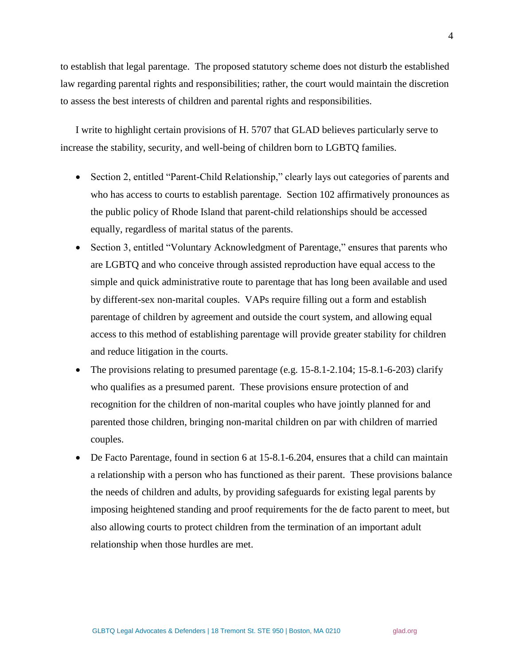to establish that legal parentage. The proposed statutory scheme does not disturb the established law regarding parental rights and responsibilities; rather, the court would maintain the discretion to assess the best interests of children and parental rights and responsibilities.

I write to highlight certain provisions of H. 5707 that GLAD believes particularly serve to increase the stability, security, and well-being of children born to LGBTQ families.

- Section 2, entitled "Parent-Child Relationship," clearly lays out categories of parents and who has access to courts to establish parentage. Section 102 affirmatively pronounces as the public policy of Rhode Island that parent-child relationships should be accessed equally, regardless of marital status of the parents.
- Section 3, entitled "Voluntary Acknowledgment of Parentage," ensures that parents who are LGBTQ and who conceive through assisted reproduction have equal access to the simple and quick administrative route to parentage that has long been available and used by different-sex non-marital couples. VAPs require filling out a form and establish parentage of children by agreement and outside the court system, and allowing equal access to this method of establishing parentage will provide greater stability for children and reduce litigation in the courts.
- The provisions relating to presumed parentage (e.g. 15-8.1-2.104; 15-8.1-6-203) clarify who qualifies as a presumed parent. These provisions ensure protection of and recognition for the children of non-marital couples who have jointly planned for and parented those children, bringing non-marital children on par with children of married couples.
- De Facto Parentage, found in section 6 at 15-8.1-6.204, ensures that a child can maintain a relationship with a person who has functioned as their parent. These provisions balance the needs of children and adults, by providing safeguards for existing legal parents by imposing heightened standing and proof requirements for the de facto parent to meet, but also allowing courts to protect children from the termination of an important adult relationship when those hurdles are met.